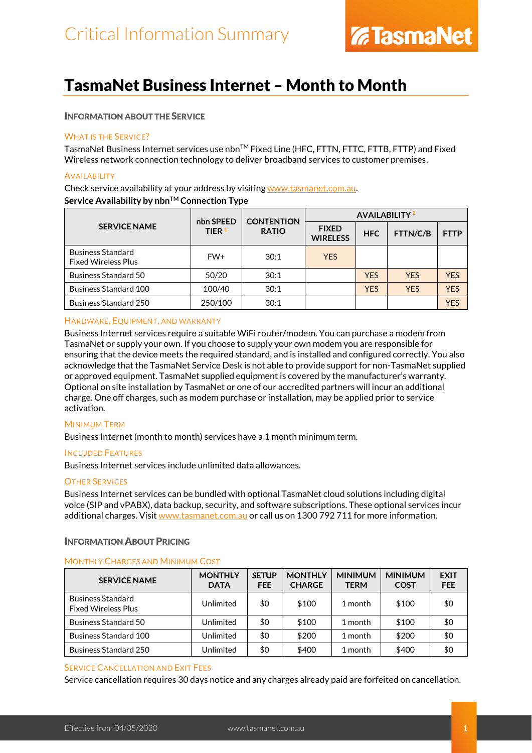### TasmaNet Business Internet – Month to Month

### INFORMATION ABOUT THE SERVICE

### WHAT IS THE SERVICE?

TasmaNet Business Internet services use nbn™ Fixed Line (HFC, FTTN, FTTC, FTTB, FTTP) and Fixed Wireless network connection technology to deliver broadband services to customer premises.

### **AVAILABILITY**

Check service availability at your address by visiting [www.tasmanet.com.au.](https://www.tasmanet.com.au/) **Service Availability by nbnTM Connection Type**

|                                                        | nbn SPEED | <b>CONTENTION</b> | <b>AVAILABILITY</b> <sup>2</sup> |            |            |             |
|--------------------------------------------------------|-----------|-------------------|----------------------------------|------------|------------|-------------|
| <b>SERVICE NAME</b>                                    | TIER $1$  | <b>RATIO</b>      | <b>FIXED</b><br><b>WIRELESS</b>  | <b>HFC</b> | FTTN/C/B   | <b>FTTP</b> |
| <b>Business Standard</b><br><b>Fixed Wireless Plus</b> | FW+       | 30:1              | <b>YES</b>                       |            |            |             |
| <b>Business Standard 50</b>                            | 50/20     | 30:1              |                                  | <b>YES</b> | <b>YES</b> | <b>YFS</b>  |
| <b>Business Standard 100</b>                           | 100/40    | 30:1              |                                  | <b>YFS</b> | <b>YES</b> | <b>YFS</b>  |
| <b>Business Standard 250</b>                           | 250/100   | 30:1              |                                  |            |            | <b>YES</b>  |

### HARDWARE, EQUIPMENT, AND WARRANTY

Business Internet services require a suitable WiFi router/modem. You can purchase a modem from TasmaNet or supply your own. If you choose to supply your own modem you are responsible for ensuring that the device meets the required standard, and is installed and configured correctly. You also acknowledge that the TasmaNet Service Desk is not able to provide support for non-TasmaNet supplied or approved equipment. TasmaNet supplied equipment is covered by the manufacturer's warranty. Optional on site installation by TasmaNet or one of our accredited partners will incur an additional charge. One off charges, such as modem purchase or installation, may be applied prior to service activation.

### MINIMUM TERM

Business Internet (month to month) services have a 1 month minimum term.

### INCLUDED FEATURES

Business Internet services include unlimited data allowances.

### **OTHER SERVICES**

Business Internet services can be bundled with optional TasmaNet cloud solutions including digital voice (SIP and vPABX), data backup, security, and software subscriptions. These optional services incur additional charges. Visit [www.tasmanet.com.au](http://www.tasmanet.com.au/) or call us on 1300 792 711 for more information.

### INFORMATION ABOUT PRICING

### MONTHLY CHARGES AND MINIMUM COST

| <b>SERVICE NAME</b>                                    | <b>MONTHLY</b><br><b>DATA</b> | <b>SETUP</b><br><b>FEE</b> | <b>MONTHLY</b><br><b>CHARGE</b> | <b>MINIMUM</b><br><b>TERM</b> | <b>MINIMUM</b><br><b>COST</b> | <b>EXIT</b><br><b>FEE</b> |
|--------------------------------------------------------|-------------------------------|----------------------------|---------------------------------|-------------------------------|-------------------------------|---------------------------|
| <b>Business Standard</b><br><b>Fixed Wireless Plus</b> | Unlimited                     | \$0                        | \$100                           | 1 month                       | \$100                         | \$0                       |
| Business Standard 50                                   | Unlimited                     | \$0                        | \$100                           | 1 month                       | \$100                         | \$0                       |
| <b>Business Standard 100</b>                           | Unlimited                     | \$0                        | \$200                           | 1 month                       | \$200                         | \$0                       |
| <b>Business Standard 250</b>                           | Unlimited                     | \$0                        | \$400                           | 1 month                       | \$400                         | \$0                       |

### SERVICE CANCELLATION AND EXIT FEES

Service cancellation requires 30 days notice and any charges already paid are forfeited on cancellation.